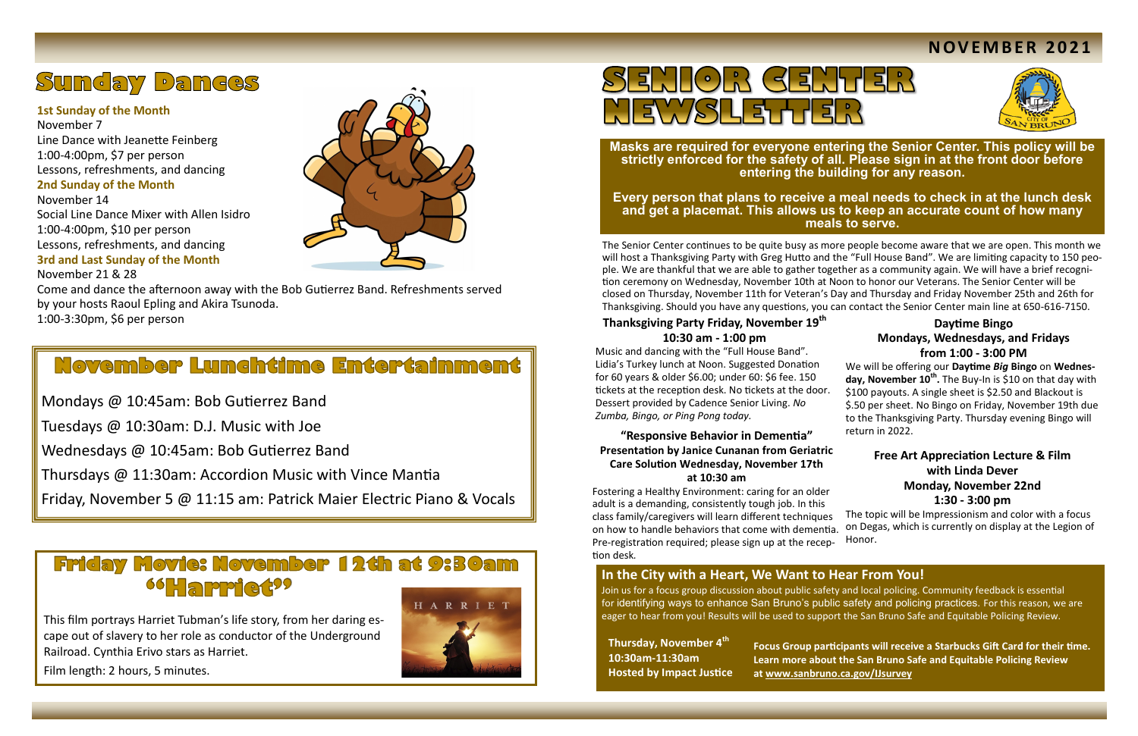The Senior Center continues to be quite busy as more people become aware that we are open. This month we will host a Thanksgiving Party with Greg Hutto and the "Full House Band". We are limiting capacity to 150 people. We are thankful that we are able to gather together as a community again. We will have a brief recognition ceremony on Wednesday, November 10th at Noon to honor our Veterans. The Senior Center will be closed on Thursday, November 11th for Veteran's Day and Thursday and Friday November 25th and 26th for Thanksgiving. Should you have any questions, you can contact the Senior Center main line at 650-616-7150.

### **Thanksgiving Party Friday, November 19th 10:30 am - 1:00 pm**

Music and dancing with the "Full House Band". Lidia's Turkey lunch at Noon. Suggested Donation for 60 years & older \$6.00; under 60: \$6 fee. 150 tickets at the reception desk. No tickets at the door. Dessert provided by Cadence Senior Living. *No Zumba, Bingo, or Ping Pong today.* 

**Masks are required for everyone entering the Senior Center. This policy will be strictly enforced for the safety of all. Please sign in at the front door before entering the building for any reason.** 

**Every person that plans to receive a meal needs to check in at the lunch desk and get a placemat. This allows us to keep an accurate count of how many meals to serve.**

**we we will be about** the Direct Online of  $Z$ Line Dance with Jeanette Feinberg  $S$ -4.00pm,  $\varphi$ , per person **2nd Sunday of the Month** November 7 1:00-4:00pm, \$7 per person Lessons, refreshments, and dancing

march 2020, the group has met via Zoom each via Zoom each via Zoom each via Zoom each via Zoom each via Zoom e<br>November 14 Social Line Dance Mixer with Allen Isidro 1:00-4:00pm, \$10 per person Lessons, refreshments, and dancing **3rd and Last Sunday of the Month** 



### **Free Art Appreciation Lecture & Film with Linda Dever Monday, November 22nd**

November 21 & 28 Come and dance the afternoon away with the Bob Gutierrez Band. Refreshments served by your hosts Raoul Epling and Akira Tsunoda. 1:00-3:30pm, \$6 per person

## **November Lunchtime Entertainment**

#### **"Responsive Behavior in Dementia" Presentation by Janice Cunanan from Geriatric Care Solution Wednesday, November 17th at 10:30 am**

**1:30 - 3:00 pm**  The topic will be Impressionism and color with a focus on Degas, which is currently on display at the Legion of Honor. Fostering a Healthy Environment: caring for an older adult is a demanding, consistently tough job. In this class family/caregivers will learn different techniques on how to handle behaviors that come with dementia. Pre-registration required; please sign up at the reception desk*.* 

# **Sunday Dances**

#### **1st Sunday of the Month**

Mondays @ 10:45am: Bob Gutierrez Band

Tuesdays @ 10:30am: D.J. Music with Joe

Wednesdays @ 10:45am: Bob Gutierrez Band

Thursdays @ 11:30am: Accordion Music with Vince Mantia

Friday, November 5 @ 11:15 am: Patrick Maier Electric Piano & Vocals

## **Friday Movie: November 12th at 9:30am 66 Happiert22**

### **N OV E M B E R 2 0 2 1**



This film portrays Harriet Tubman's life story, from her daring escape out of slavery to her role as conductor of the Underground Railroad. Cynthia Erivo stars as Harriet.





Film length: 2 hours, 5 minutes.

#### **Daytime Bingo Mondays, Wednesdays, and Fridays from 1:00 - 3:00 PM**

We will be offering our **Daytime** *Big* **Bingo** on **Wednesday, November 10<sup>th</sup>.** The Buy-In is \$10 on that day with \$100 payouts. A single sheet is \$2.50 and Blackout is \$.50 per sheet. No Bingo on Friday, November 19th due to the Thanksgiving Party. Thursday evening Bingo will return in 2022.

### **In the City with a Heart, We Want to Hear From You!**

Join us for a focus group discussion about public safety and local policing. Community feedback is essential for identifying ways to enhance San Bruno's public safety and policing practices. For this reason, we are eager to hear from you! Results will be used to support the San Bruno Safe and Equitable Policing Review.

**Thursday, November 4th 10:30am-11:30am Hosted by Impact Justice**

**Focus Group participants will receive a Starbucks Gift Card for their time. Learn more about the San Bruno Safe and Equitable Policing Review at [www.sanbruno.ca.gov/IJsurvey](http://www.sanbruno.ca.gov/IJsurvey)**